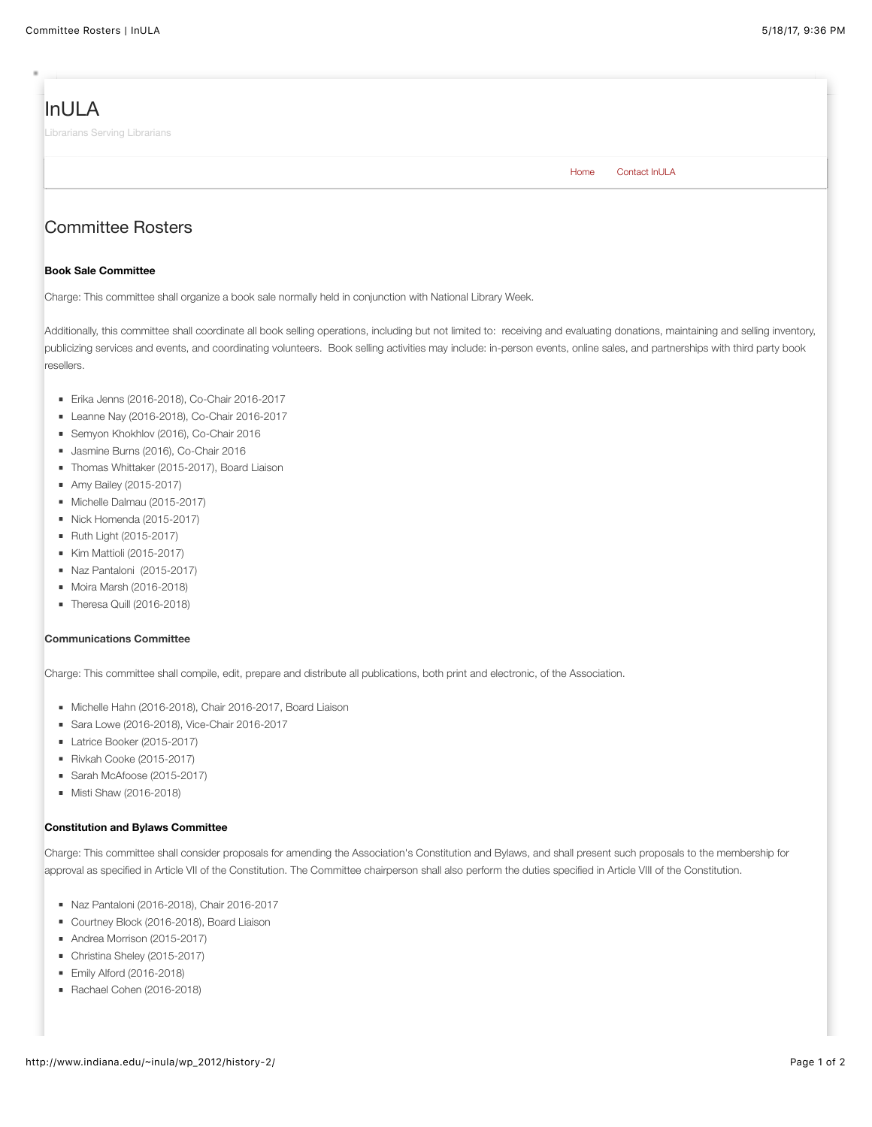# [InULA](http://www.indiana.edu/~inula/wp_2012/)

Librarians Serving Librarians

[Home](http://www.indiana.edu/~inula/wp_2012/) [Contact InULA](http://www.indiana.edu/~inula/wp_2012/contact-inula/)

## Committee Rosters

#### **Book Sale Committee**

Charge: This committee shall organize a book sale normally held in conjunction with National Library Week.

Additionally, this committee shall coordinate all book selling operations, including but not limited to: receiving and evaluating donations, maintaining and selling inventory, publicizing services and events, and coordinating volunteers. Book selling activities may include: in-person events, online sales, and partnerships with third party book resellers.

- Erika Jenns (2016-2018), Co-Chair 2016-2017
- Leanne Nay (2016-2018), Co-Chair 2016-2017
- Semyon Khokhlov (2016), Co-Chair 2016
- Jasmine Burns (2016), Co-Chair 2016
	- Thomas Whittaker (2015-2017), Board Liaison
	- **Amy Bailey (2015-2017)**
	- Michelle Dalmau (2015-2017)
	- Nick Homenda (2015-2017)
	- **Ruth Light (2015-2017)**
	- Kim Mattioli (2015-2017)
	- Naz Pantaloni (2015-2017)
	- Moira Marsh (2016-2018)
- $\blacksquare$  Theresa Quill (2016-2018)

#### **Communications Committee**

**Book Sale Committee**

Charge: This committee shall compile, edit, prepare and distribute all publications, both print and electronic, of the Association.

- Michelle Hahn (2016-2018), Chair 2016-2017, Board Liaison
- Sara Lowe (2016-2018), Vice-Chair 2016-2017
- Latrice Booker (2015-2017)
- Rivkah Cooke (2015-2017)
- Sarah McAfoose (2015-2017)
- **Misti Shaw (2016-2018)**

#### **Constitution and Bylaws Committee**

Charge: This committee shall consider proposals for amending the Association's Constitution and Bylaws, and shall present such proposals to the membership for approval as specified in Article VII of the Constitution. The Committee chairperson shall also perform the duties specified in Article VIII of the Constitution.

- Naz Pantaloni (2016-2018), Chair 2016-2017
- Courtney Block (2016-2018), Board Liaison
- Andrea Morrison (2015-2017)
- Christina Sheley (2015-2017)
- **Emily Alford (2016-2018)**
- Rachael Cohen (2016-2018)